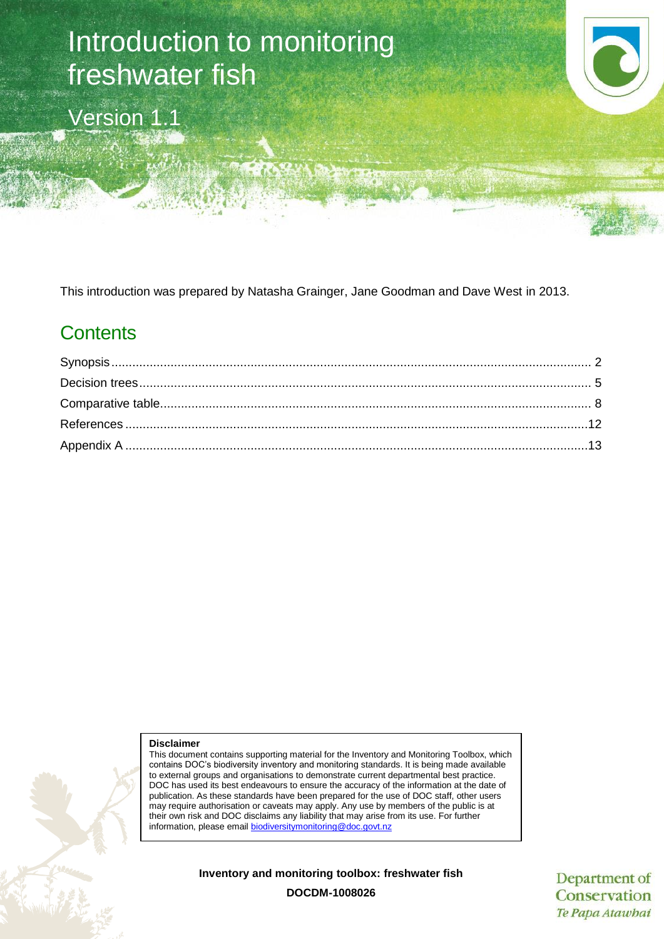# Introduction to monitoring freshwater fish

Version 1.1

This introduction was prepared by Natasha Grainger, Jane Goodman and Dave West in 2013.

## **Contents**

#### **Disclaimer**

This document contains supporting material for the Inventory and Monitoring Toolbox, which contains DOC's biodiversity inventory and monitoring standards. It is being made available to external groups and organisations to demonstrate current departmental best practice. DOC has used its best endeavours to ensure the accuracy of the information at the date of publication. As these standards have been prepared for the use of DOC staff, other users may require authorisation or caveats may apply. Any use by members of the public is at their own risk and DOC disclaims any liability that may arise from its use. For further information, please email [biodiversitymonitoring@doc.govt.nz](mailto:biodiversitymonitoring@doc.govt.nz)

**Inventory and monitoring toolbox: freshwater fish**

Department of Conservation Te Papa Atawbai

**DOCDM-1008026**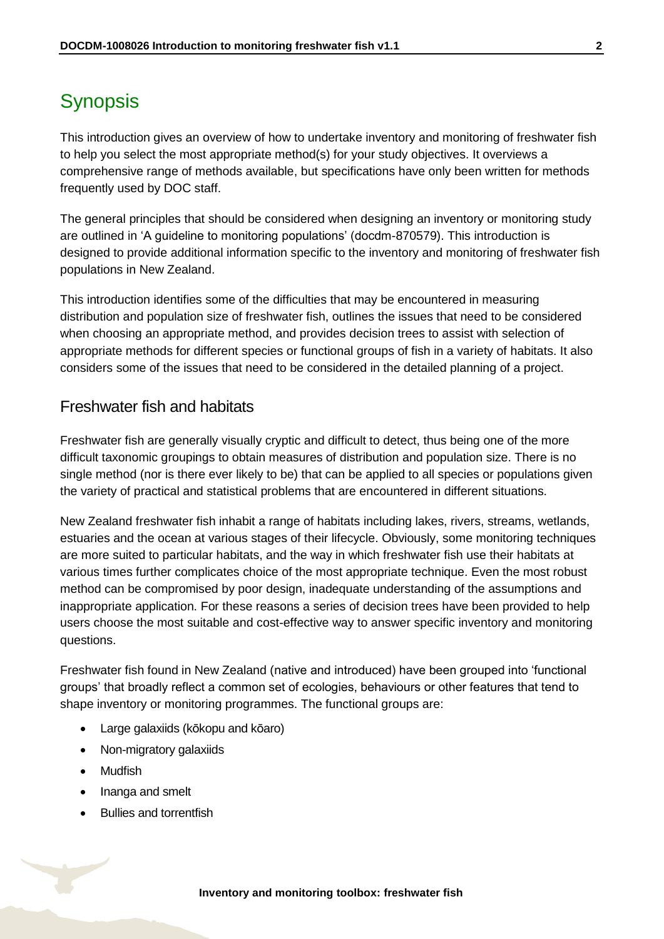### <span id="page-1-0"></span>**Synopsis**

This introduction gives an overview of how to undertake inventory and monitoring of freshwater fish to help you select the most appropriate method(s) for your study objectives. It overviews a comprehensive range of methods available, but specifications have only been written for methods frequently used by DOC staff.

The general principles that should be considered when designing an inventory or monitoring study are outlined in 'A guideline to monitoring populations' (docdm-870579). This introduction is designed to provide additional information specific to the inventory and monitoring of freshwater fish populations in New Zealand.

This introduction identifies some of the difficulties that may be encountered in measuring distribution and population size of freshwater fish, outlines the issues that need to be considered when choosing an appropriate method, and provides decision trees to assist with selection of appropriate methods for different species or functional groups of fish in a variety of habitats. It also considers some of the issues that need to be considered in the detailed planning of a project.

### Freshwater fish and habitats

Freshwater fish are generally visually cryptic and difficult to detect, thus being one of the more difficult taxonomic groupings to obtain measures of distribution and population size. There is no single method (nor is there ever likely to be) that can be applied to all species or populations given the variety of practical and statistical problems that are encountered in different situations.

New Zealand freshwater fish inhabit a range of habitats including lakes, rivers, streams, wetlands, estuaries and the ocean at various stages of their lifecycle. Obviously, some monitoring techniques are more suited to particular habitats, and the way in which freshwater fish use their habitats at various times further complicates choice of the most appropriate technique. Even the most robust method can be compromised by poor design, inadequate understanding of the assumptions and inappropriate application. For these reasons a series of decision trees have been provided to help users choose the most suitable and cost-effective way to answer specific inventory and monitoring questions.

Freshwater fish found in New Zealand (native and introduced) have been grouped into 'functional groups' that broadly reflect a common set of ecologies, behaviours or other features that tend to shape inventory or monitoring programmes. The functional groups are:

- Large galaxiids (kōkopu and kōaro)
- Non-migratory galaxiids
- Mudfish
- Inanga and smelt
- Bullies and torrentfish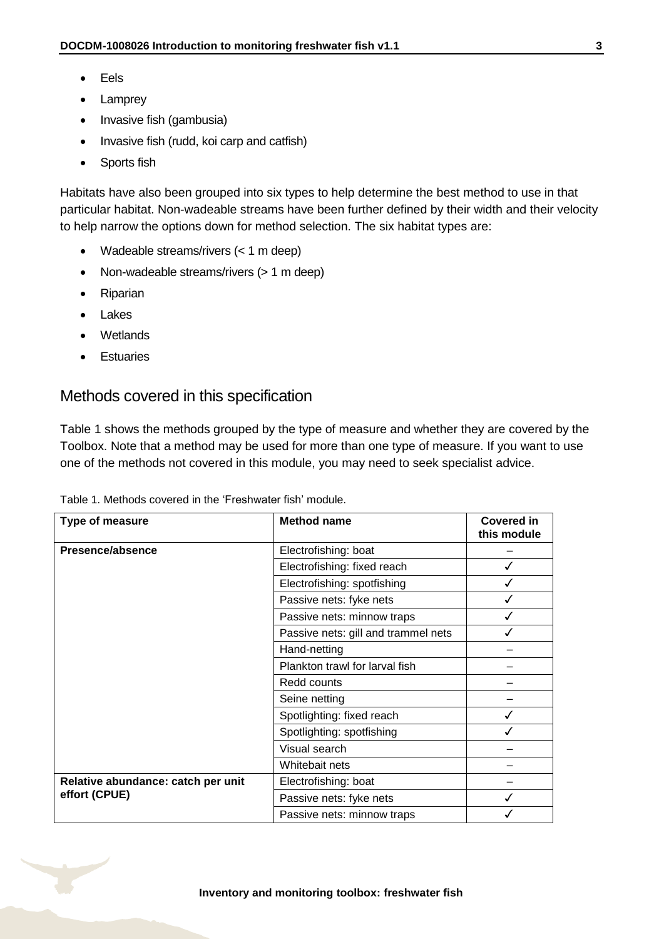- Eels
- Lamprey
- Invasive fish (gambusia)
- Invasive fish (rudd, koi carp and catfish)
- Sports fish

Habitats have also been grouped into six types to help determine the best method to use in that particular habitat. Non-wadeable streams have been further defined by their width and their velocity to help narrow the options down for method selection. The six habitat types are:

- Wadeable streams/rivers (< 1 m deep)
- Non-wadeable streams/rivers (> 1 m deep)
- Riparian
- Lakes
- Wetlands
- Estuaries

### Methods covered in this specification

[Table 1](#page-2-0) shows the methods grouped by the type of measure and whether they are covered by the Toolbox. Note that a method may be used for more than one type of measure. If you want to use one of the methods not covered in this module, you may need to seek specialist advice.

<span id="page-2-0"></span>

| Table 1. Methods covered in the 'Freshwater fish' module. |
|-----------------------------------------------------------|
|-----------------------------------------------------------|

| <b>Type of measure</b>             | <b>Method name</b>                  | Covered in<br>this module |
|------------------------------------|-------------------------------------|---------------------------|
| Presence/absence                   | Electrofishing: boat                |                           |
|                                    | Electrofishing: fixed reach         |                           |
|                                    | Electrofishing: spotfishing         |                           |
|                                    | Passive nets: fyke nets             |                           |
|                                    | Passive nets: minnow traps          |                           |
|                                    | Passive nets: gill and trammel nets |                           |
|                                    | Hand-netting                        |                           |
|                                    | Plankton trawl for larval fish      |                           |
|                                    | Redd counts                         |                           |
|                                    | Seine netting                       |                           |
|                                    | Spotlighting: fixed reach           |                           |
|                                    | Spotlighting: spotfishing           |                           |
|                                    | Visual search                       |                           |
|                                    | Whitebait nets                      |                           |
| Relative abundance: catch per unit | Electrofishing: boat                |                           |
| effort (CPUE)                      | Passive nets: fyke nets             |                           |
|                                    | Passive nets: minnow traps          |                           |

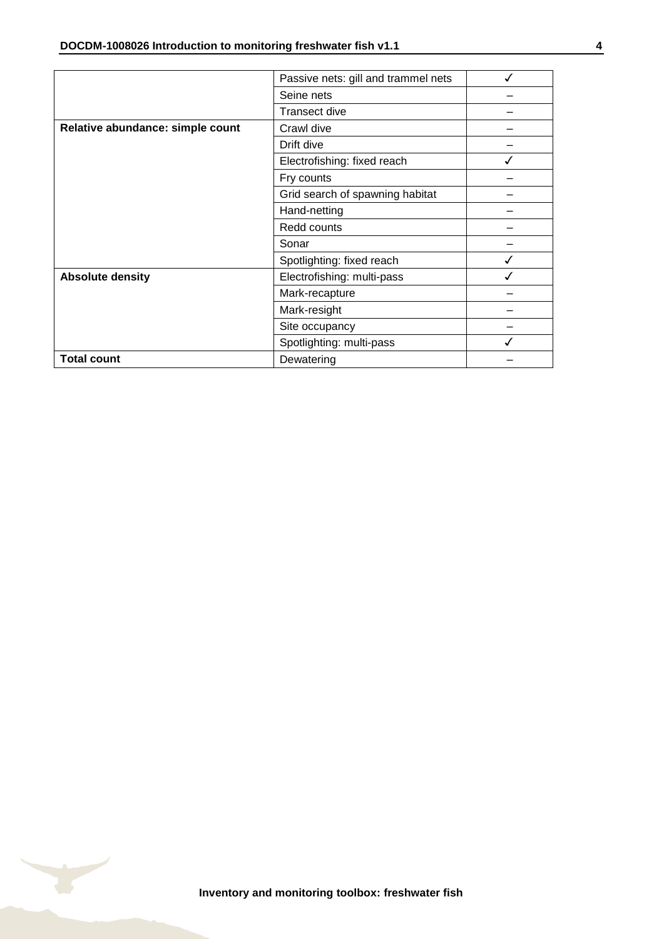|                                  | Passive nets: gill and trammel nets |  |
|----------------------------------|-------------------------------------|--|
|                                  | Seine nets                          |  |
|                                  | <b>Transect dive</b>                |  |
| Relative abundance: simple count | Crawl dive                          |  |
|                                  | Drift dive                          |  |
|                                  | Electrofishing: fixed reach         |  |
|                                  | Fry counts                          |  |
|                                  | Grid search of spawning habitat     |  |
|                                  | Hand-netting                        |  |
|                                  | Redd counts                         |  |
|                                  | Sonar                               |  |
|                                  | Spotlighting: fixed reach           |  |
| <b>Absolute density</b>          | Electrofishing: multi-pass          |  |
|                                  | Mark-recapture                      |  |
|                                  | Mark-resight                        |  |
|                                  | Site occupancy                      |  |
|                                  | Spotlighting: multi-pass            |  |
| <b>Total count</b>               | Dewatering                          |  |

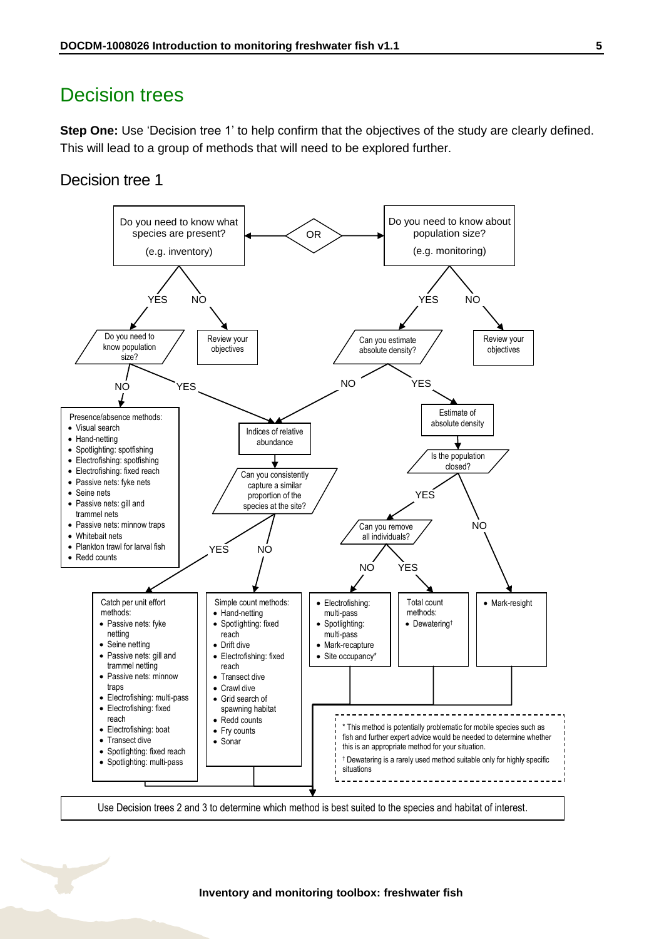### <span id="page-4-0"></span>Decision trees

**Step One:** Use 'Decision tree 1' to help confirm that the objectives of the study are clearly defined. This will lead to a group of methods that will need to be explored further.

### Decision tree 1

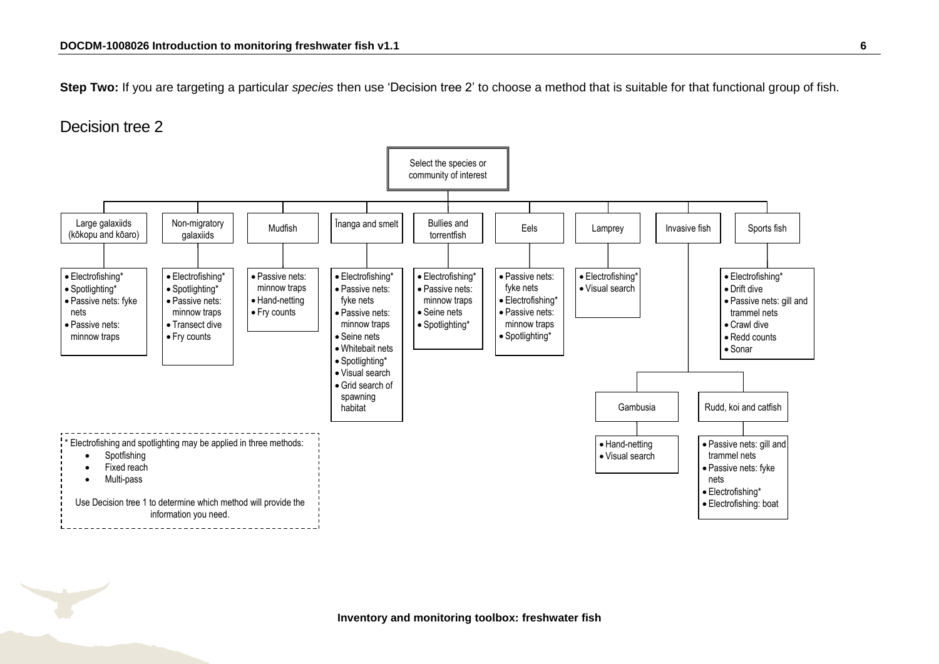**Step Two:** If you are targeting a particular *species* then use 'Decision tree 2' to choose a method that is suitable for that functional group of fish.

### Decision tree 2

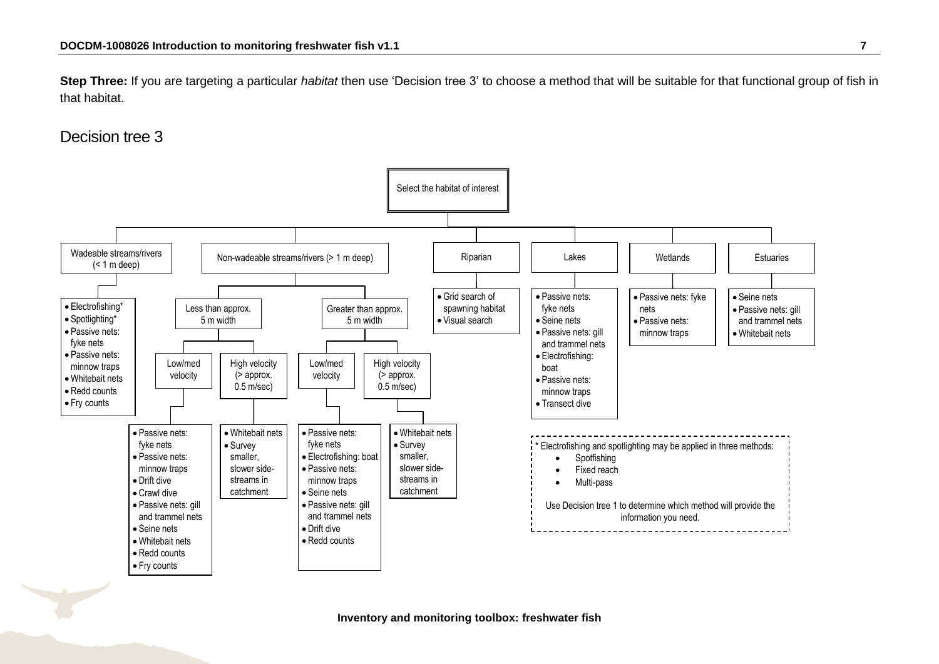**Step Three:** If you are targeting a particular *habitat* then use 'Decision tree 3' to choose a method that will be suitable for that functional group of fish in that habitat.

### Decision tree 3



**Inventory and monitoring toolbox: freshwater fish**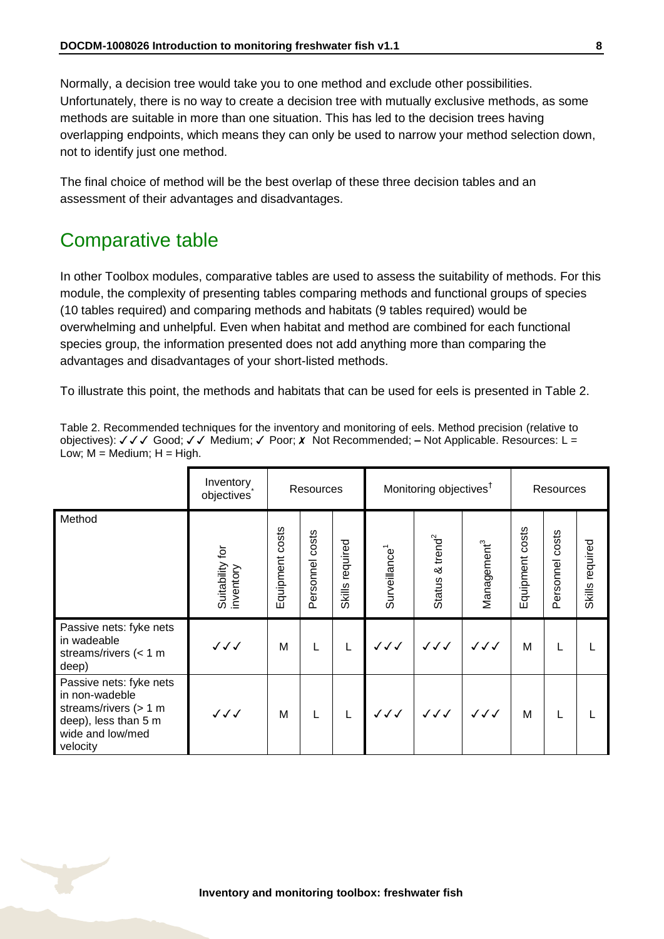Normally, a decision tree would take you to one method and exclude other possibilities. Unfortunately, there is no way to create a decision tree with mutually exclusive methods, as some methods are suitable in more than one situation. This has led to the decision trees having overlapping endpoints, which means they can only be used to narrow your method selection down, not to identify just one method.

The final choice of method will be the best overlap of these three decision tables and an assessment of their advantages and disadvantages.

### <span id="page-7-0"></span>Comparative table

In other Toolbox modules, comparative tables are used to assess the suitability of methods. For this module, the complexity of presenting tables comparing methods and functional groups of species (10 tables required) and comparing methods and habitats (9 tables required) would be overwhelming and unhelpful. Even when habitat and method are combined for each functional species group, the information presented does not add anything more than comparing the advantages and disadvantages of your short-listed methods.

To illustrate this point, the methods and habitats that can be used for eels is presented in [Table 2.](#page-7-1)

|                                                                                                                              | Inventory<br>objectives      | Resources       |                 | Monitoring objectives <sup>†</sup> |                           |                                  | Resources               |                 |                 |                 |
|------------------------------------------------------------------------------------------------------------------------------|------------------------------|-----------------|-----------------|------------------------------------|---------------------------|----------------------------------|-------------------------|-----------------|-----------------|-----------------|
| Method                                                                                                                       | Suitability for<br>inventory | Equipment costs | Personnel costs | required<br>Skills                 | Surveillance <sup>1</sup> | Status & trend <sup>2</sup>      | Management <sup>3</sup> | Equipment costs | Personnel costs | Skills required |
| Passive nets: fyke nets<br>in wadeable<br>streams/rivers $(< 1$ m<br>deep)                                                   | ノノノ                          | M               | L               | L                                  | $\checkmark\checkmark$    | $\checkmark\checkmark\checkmark$ | JJJ                     | M               | L               |                 |
| Passive nets: fyke nets<br>in non-wadeble<br>streams/rivers $(> 1 m$<br>deep), less than 5 m<br>wide and low/med<br>velocity | $\checkmark\checkmark$       | M               | L               | L                                  | $\checkmark\checkmark$    | $\checkmark\checkmark$           | $\checkmark\checkmark$  | M               | L               |                 |

<span id="page-7-1"></span>Table 2. Recommended techniques for the inventory and monitoring of eels. Method precision (relative to objectives):  $\sqrt{\sqrt{6}}$  Good;  $\sqrt{\sqrt{6}}$  Medium;  $\sqrt{6}$  Poor; *x* Not Recommended; – Not Applicable. Resources: L = Low;  $M = \text{Median}$ ;  $H = \text{High}$ .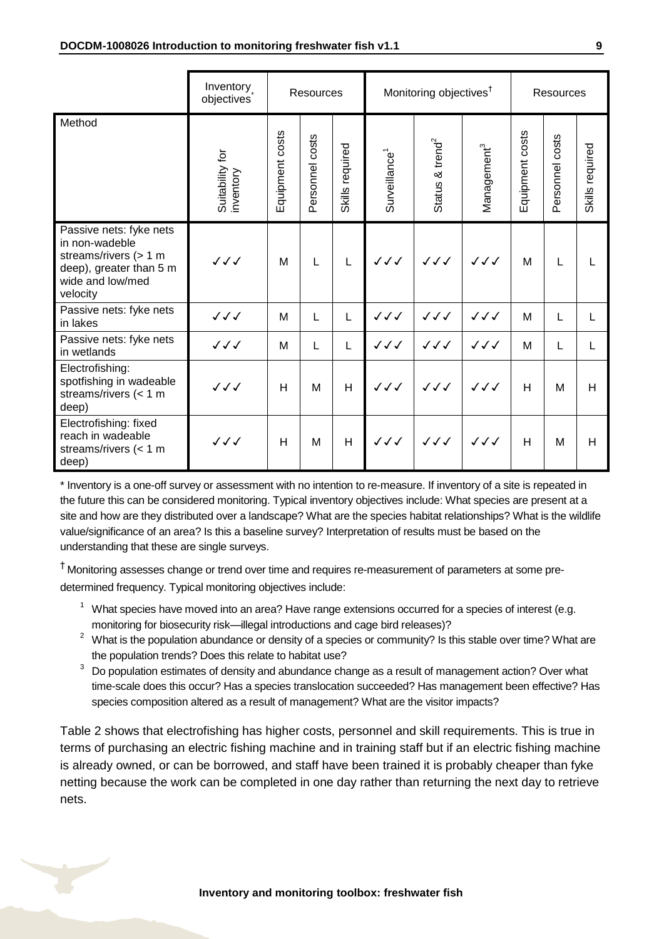|                                                                                                                               | Inventory<br>objectives      | <b>Resources</b> |                 |                 | Monitoring objectives <sup>†</sup> |                                  |                         | Resources       |                 |                 |
|-------------------------------------------------------------------------------------------------------------------------------|------------------------------|------------------|-----------------|-----------------|------------------------------------|----------------------------------|-------------------------|-----------------|-----------------|-----------------|
| Method                                                                                                                        | Suitability for<br>inventory | Equipment costs  | Personnel costs | Skills required | Surveillance <sup>1</sup>          | Status & trend <sup>2</sup>      | Management <sup>3</sup> | Equipment costs | Personnel costs | Skills required |
| Passive nets: fyke nets<br>in non-wadeble<br>streams/rivers (> 1 m<br>deep), greater than 5 m<br>wide and low/med<br>velocity | ノノノ                          | M                | L               | L               | ノノノ                                | $\checkmark\checkmark\checkmark$ | $\checkmark\checkmark$  | M               | L               |                 |
| Passive nets: fyke nets<br>in lakes                                                                                           | $\checkmark\checkmark$       | м                | L               | L               | JJJ                                | JJJ                              | JJJ                     | M               | L               | L               |
| Passive nets: fyke nets<br>in wetlands                                                                                        | $\checkmark\checkmark$       | м                | L               | L               | $\checkmark\checkmark$             | ノノノ                              | JJJ                     | M               | L               | L               |
| Electrofishing:<br>spotfishing in wadeable<br>streams/rivers $(< 1$ m<br>deep)                                                | $\checkmark\checkmark$       | H                | M               | H               | $\checkmark\checkmark$             | $\checkmark\checkmark$           | $\checkmark\checkmark$  | H               | M               | H               |
| Electrofishing: fixed<br>reach in wadeable<br>streams/rivers $(< 1$ m<br>deep)                                                | $\checkmark\checkmark$       | н                | M               | H               | ノノノ                                | JJJ                              | $\checkmark\checkmark$  | H               | M               | H               |

\* Inventory is a one-off survey or assessment with no intention to re-measure. If inventory of a site is repeated in the future this can be considered monitoring. Typical inventory objectives include: What species are present at a site and how are they distributed over a landscape? What are the species habitat relationships? What is the wildlife value/significance of an area? Is this a baseline survey? Interpretation of results must be based on the understanding that these are single surveys.

† Monitoring assesses change or trend over time and requires re-measurement of parameters at some predetermined frequency. Typical monitoring objectives include:

- $1$  What species have moved into an area? Have range extensions occurred for a species of interest (e.g. monitoring for biosecurity risk—illegal introductions and cage bird releases)?
- <sup>2</sup> What is the population abundance or density of a species or community? Is this stable over time? What are the population trends? Does this relate to habitat use?
- <sup>3</sup> Do population estimates of density and abundance change as a result of management action? Over what time-scale does this occur? Has a species translocation succeeded? Has management been effective? Has species composition altered as a result of management? What are the visitor impacts?

[Table 2](#page-7-1) shows that electrofishing has higher costs, personnel and skill requirements. This is true in terms of purchasing an electric fishing machine and in training staff but if an electric fishing machine is already owned, or can be borrowed, and staff have been trained it is probably cheaper than fyke netting because the work can be completed in one day rather than returning the next day to retrieve nets.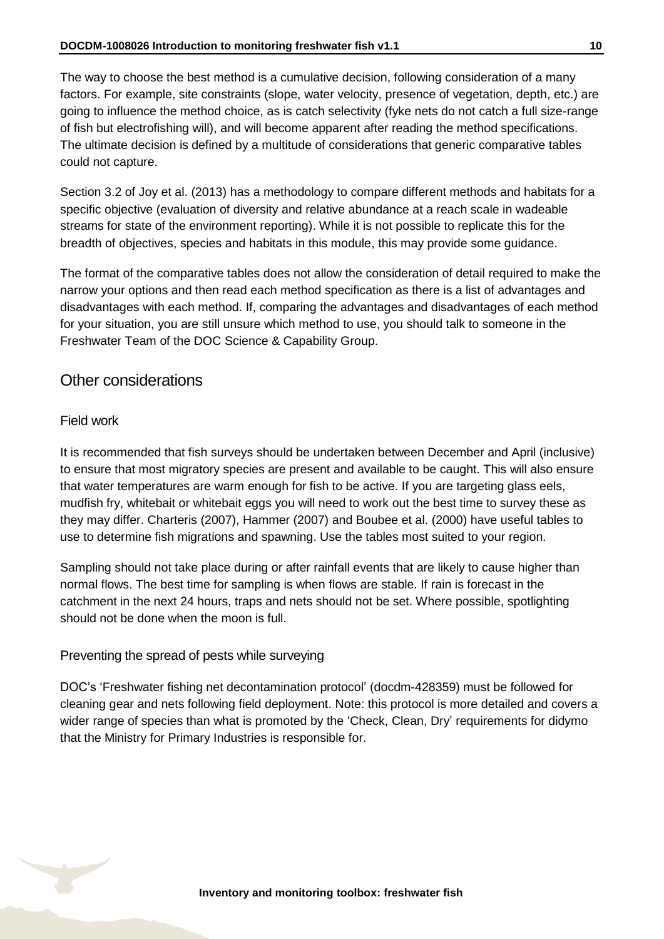The way to choose the best method is a cumulative decision, following consideration of a many factors. For example, site constraints (slope, water velocity, presence of vegetation, depth, etc.) are going to influence the method choice, as is catch selectivity (fyke nets do not catch a full size-range of fish but electrofishing will), and will become apparent after reading the method specifications. The ultimate decision is defined by a multitude of considerations that generic comparative tables could not capture.

Section 3.2 of Joy et al. (2013) has a methodology to compare different methods and habitats for a specific objective (evaluation of diversity and relative abundance at a reach scale in wadeable streams for state of the environment reporting). While it is not possible to replicate this for the breadth of objectives, species and habitats in this module, this may provide some guidance.

The format of the comparative tables does not allow the consideration of detail required to make the narrow your options and then read each method specification as there is a list of advantages and disadvantages with each method. If, comparing the advantages and disadvantages of each method for your situation, you are still unsure which method to use, you should talk to someone in the Freshwater Team of the DOC Science & Capability Group.

### Other considerations

#### Field work

It is recommended that fish surveys should be undertaken between December and April (inclusive) to ensure that most migratory species are present and available to be caught. This will also ensure that water temperatures are warm enough for fish to be active. If you are targeting glass eels, mudfish fry, whitebait or whitebait eggs you will need to work out the best time to survey these as they may differ. Charteris (2007), Hammer (2007) and Boubee et al. (2000) have useful tables to use to determine fish migrations and spawning. Use the tables most suited to your region.

Sampling should not take place during or after rainfall events that are likely to cause higher than normal flows. The best time for sampling is when flows are stable. If rain is forecast in the catchment in the next 24 hours, traps and nets should not be set. Where possible, spotlighting should not be done when the moon is full.

#### Preventing the spread of pests while surveying

DOC's 'Freshwater fishing net decontamination protocol' (docdm-428359) must be followed for cleaning gear and nets following field deployment. Note: this protocol is more detailed and covers a wider range of species than what is promoted by the 'Check, Clean, Dry' requirements for didymo that the Ministry for Primary Industries is responsible for.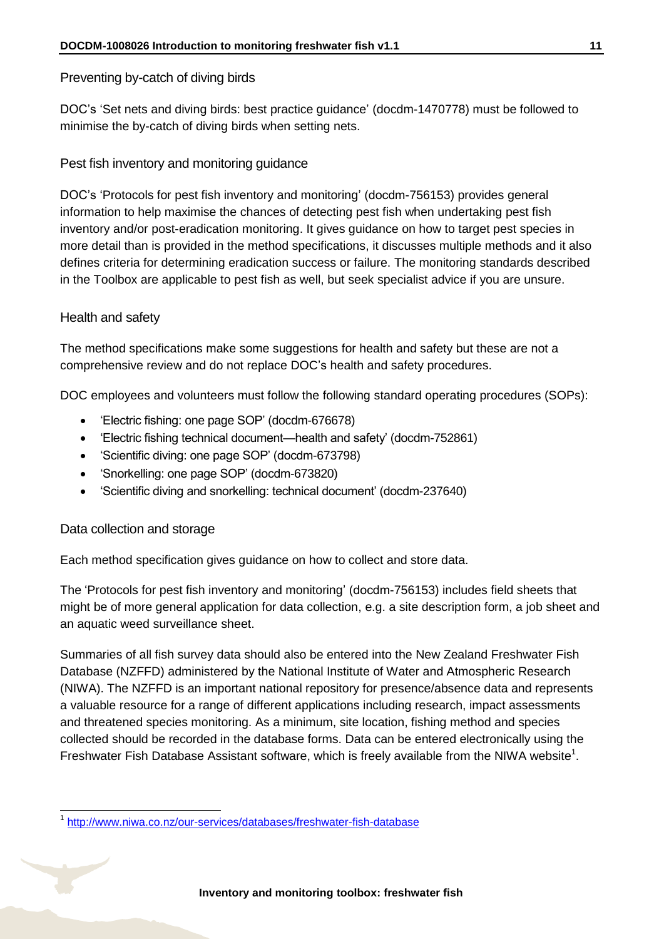#### Preventing by-catch of diving birds

DOC's 'Set nets and diving birds: best practice guidance' (docdm-1470778) must be followed to minimise the by-catch of diving birds when setting nets.

### Pest fish inventory and monitoring guidance

DOC's 'Protocols for pest fish inventory and monitoring' (docdm-756153) provides general information to help maximise the chances of detecting pest fish when undertaking pest fish inventory and/or post-eradication monitoring. It gives guidance on how to target pest species in more detail than is provided in the method specifications, it discusses multiple methods and it also defines criteria for determining eradication success or failure. The monitoring standards described in the Toolbox are applicable to pest fish as well, but seek specialist advice if you are unsure.

### Health and safety

The method specifications make some suggestions for health and safety but these are not a comprehensive review and do not replace DOC's health and safety procedures.

DOC employees and volunteers must follow the following standard operating procedures (SOPs):

- 'Electric fishing: one page SOP' (docdm-676678)
- 'Electric fishing technical document—health and safety' (docdm-752861)
- 'Scientific diving: one page SOP' (docdm-673798)
- 'Snorkelling: one page SOP' (docdm-673820)
- 'Scientific diving and snorkelling: technical document' (docdm-237640)

### Data collection and storage

-

Each method specification gives guidance on how to collect and store data.

The 'Protocols for pest fish inventory and monitoring' (docdm-756153) includes field sheets that might be of more general application for data collection, e.g. a site description form, a job sheet and an aquatic weed surveillance sheet.

Summaries of all fish survey data should also be entered into the New Zealand Freshwater Fish Database (NZFFD) administered by the National Institute of Water and Atmospheric Research (NIWA). The NZFFD is an important national repository for presence/absence data and represents a valuable resource for a range of different applications including research, impact assessments and threatened species monitoring. As a minimum, site location, fishing method and species collected should be recorded in the database forms. Data can be entered electronically using the Freshwater Fish Database Assistant software, which is freely available from the NIWA website<sup>1</sup>.

<sup>1</sup> <http://www.niwa.co.nz/our-services/databases/freshwater-fish-database>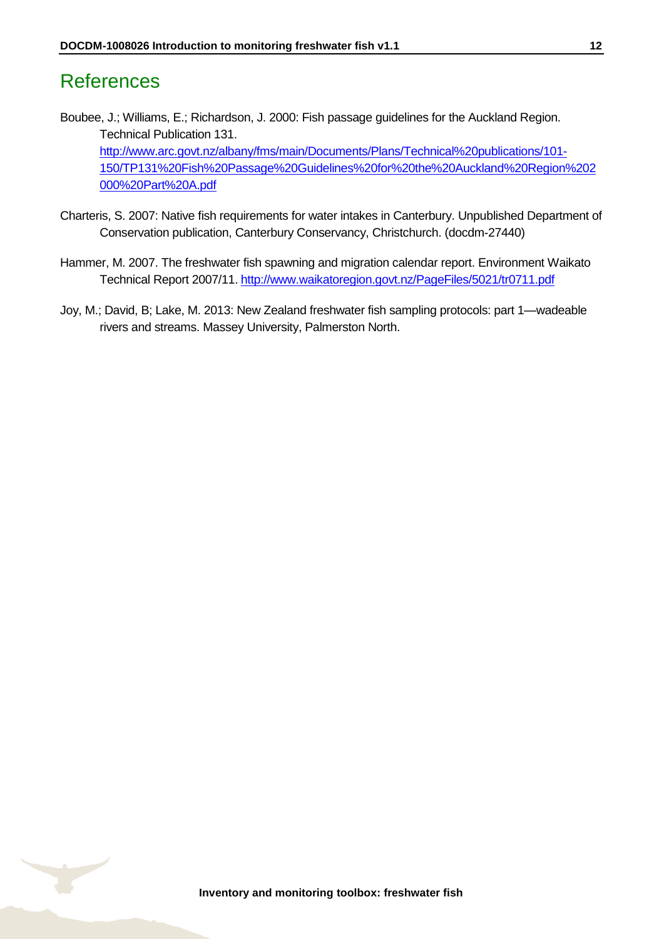### <span id="page-11-0"></span>References

Boubee, J.; Williams, E.; Richardson, J. 2000: Fish passage guidelines for the Auckland Region. Technical Publication 131. [http://www.arc.govt.nz/albany/fms/main/Documents/Plans/Technical%20publications/101-](http://www.arc.govt.nz/albany/fms/main/Documents/Plans/Technical%20publications/101-150/TP131%20Fish%20Passage%20Guidelines%20for%20the%20Auckland%20Region%202000%20Part%20A.pdf) [150/TP131%20Fish%20Passage%20Guidelines%20for%20the%20Auckland%20Region%202](http://www.arc.govt.nz/albany/fms/main/Documents/Plans/Technical%20publications/101-150/TP131%20Fish%20Passage%20Guidelines%20for%20the%20Auckland%20Region%202000%20Part%20A.pdf) [000%20Part%20A.pdf](http://www.arc.govt.nz/albany/fms/main/Documents/Plans/Technical%20publications/101-150/TP131%20Fish%20Passage%20Guidelines%20for%20the%20Auckland%20Region%202000%20Part%20A.pdf) 

- Charteris, S. 2007: Native fish requirements for water intakes in Canterbury. Unpublished Department of Conservation publication, Canterbury Conservancy, Christchurch. (docdm-27440)
- Hammer, M. 2007. The freshwater fish spawning and migration calendar report. Environment Waikato Technical Report 2007/11. <http://www.waikatoregion.govt.nz/PageFiles/5021/tr0711.pdf>
- Joy, M.; David, B; Lake, M. 2013: New Zealand freshwater fish sampling protocols: part 1—wadeable rivers and streams. Massey University, Palmerston North.